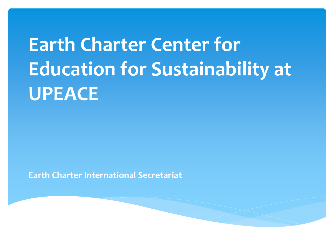# **Earth Charter Center for Education for Sustainability at UPEACE**

**Earth Charter International Secretariat**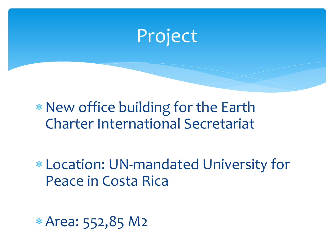# Project

New office building for the Earth Charter International Secretariat

 Location: UN-mandated University for Peace in Costa Rica

Area: 552,85 M2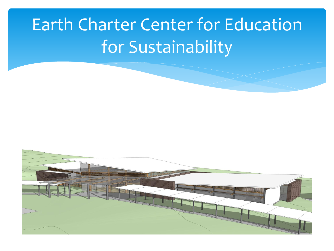# Earth Charter Center for Education for Sustainability

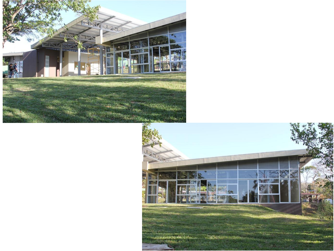

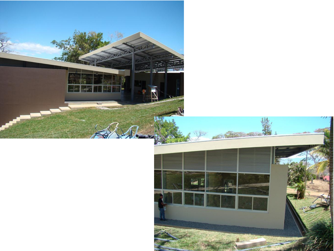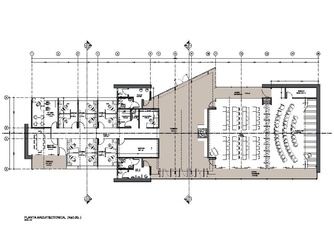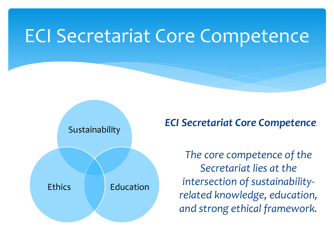### ECI Secretariat Core Competence



#### *ECI Secretariat Core Competence*

*The core competence of the Secretariat lies at the intersection of sustainabilityrelated knowledge, education, and strong ethical framework.*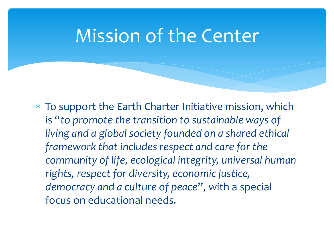### Mission of the Center

 To support the Earth Charter Initiative mission, which is "*to promote the transition to sustainable ways of living and a global society founded on a shared ethical framework that includes respect and care for the community of life, ecological integrity, universal human rights, respect for diversity, economic justice, democracy and a culture of peace*", with a special focus on educational needs.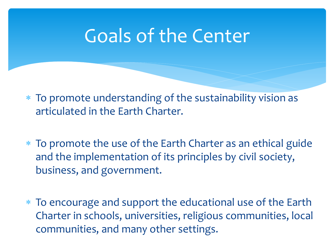### Goals of the Center

- To promote understanding of the sustainability vision as articulated in the Earth Charter.
- To promote the use of the Earth Charter as an ethical guide and the implementation of its principles by civil society, business, and government.
- To encourage and support the educational use of the Earth Charter in schools, universities, religious communities, local communities, and many other settings.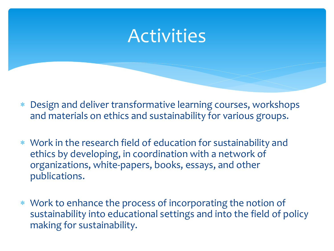### Activities

- Design and deliver transformative learning courses, workshops and materials on ethics and sustainability for various groups.
- Work in the research field of education for sustainability and ethics by developing, in coordination with a network of organizations, white-papers, books, essays, and other publications.
- Work to enhance the process of incorporating the notion of sustainability into educational settings and into the field of policy making for sustainability.